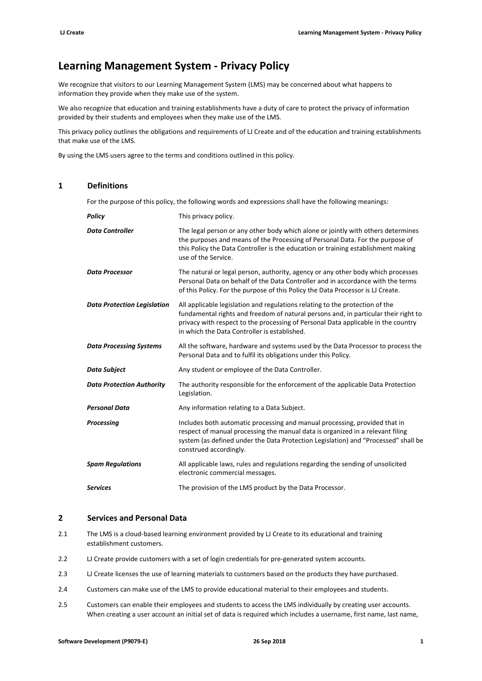# **Learning Management System ‐ Privacy Policy**

We recognize that visitors to our Learning Management System (LMS) may be concerned about what happens to information they provide when they make use of the system.

We also recognize that education and training establishments have a duty of care to protect the privacy of information provided by their students and employees when they make use of the LMS.

This privacy policy outlines the obligations and requirements of LJ Create and of the education and training establishments that make use of the LMS.

By using the LMS users agree to the terms and conditions outlined in this policy.

# **1 Definitions**

For the purpose of this policy, the following words and expressions shall have the following meanings:

| Policy                             | This privacy policy.                                                                                                                                                                                                                                                                                     |
|------------------------------------|----------------------------------------------------------------------------------------------------------------------------------------------------------------------------------------------------------------------------------------------------------------------------------------------------------|
| <b>Data Controller</b>             | The legal person or any other body which alone or jointly with others determines<br>the purposes and means of the Processing of Personal Data. For the purpose of<br>this Policy the Data Controller is the education or training establishment making<br>use of the Service.                            |
| <b>Data Processor</b>              | The natural or legal person, authority, agency or any other body which processes<br>Personal Data on behalf of the Data Controller and in accordance with the terms<br>of this Policy. For the purpose of this Policy the Data Processor is LJ Create.                                                   |
| <b>Data Protection Legislation</b> | All applicable legislation and regulations relating to the protection of the<br>fundamental rights and freedom of natural persons and, in particular their right to<br>privacy with respect to the processing of Personal Data applicable in the country<br>in which the Data Controller is established. |
| <b>Data Processing Systems</b>     | All the software, hardware and systems used by the Data Processor to process the<br>Personal Data and to fulfil its obligations under this Policy.                                                                                                                                                       |
| Data Subject                       | Any student or employee of the Data Controller.                                                                                                                                                                                                                                                          |
| <b>Data Protection Authority</b>   | The authority responsible for the enforcement of the applicable Data Protection<br>Legislation.                                                                                                                                                                                                          |
| <b>Personal Data</b>               | Any information relating to a Data Subject.                                                                                                                                                                                                                                                              |
| Processing                         | Includes both automatic processing and manual processing, provided that in<br>respect of manual processing the manual data is organized in a relevant filing<br>system (as defined under the Data Protection Legislation) and "Processed" shall be<br>construed accordingly.                             |
| <b>Spam Regulations</b>            | All applicable laws, rules and regulations regarding the sending of unsolicited<br>electronic commercial messages.                                                                                                                                                                                       |
| <b>Services</b>                    | The provision of the LMS product by the Data Processor.                                                                                                                                                                                                                                                  |

#### **2 Services and Personal Data**

- 2.1 The LMS is a cloud-based learning environment provided by LJ Create to its educational and training establishment customers.
- 2.2 LJ Create provide customers with a set of login credentials for pre-generated system accounts.
- 2.3 LJ Create licenses the use of learning materials to customers based on the products they have purchased.
- 2.4 Customers can make use of the LMS to provide educational material to their employees and students.
- 2.5 Customers can enable their employees and students to access the LMS individually by creating user accounts. When creating a user account an initial set of data is required which includes a username, first name, last name,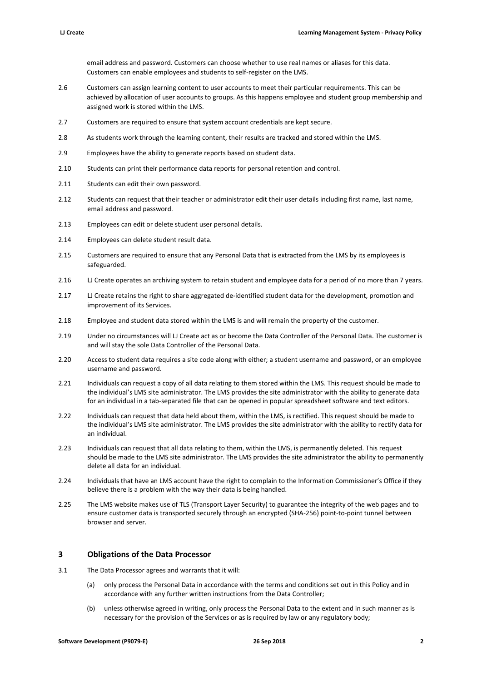email address and password. Customers can choose whether to use real names or aliases for this data. Customers can enable employees and students to self‐register on the LMS.

- 2.6 Customers can assign learning content to user accounts to meet their particular requirements. This can be achieved by allocation of user accounts to groups. As this happens employee and student group membership and assigned work is stored within the LMS.
- 2.7 Customers are required to ensure that system account credentials are kept secure.
- 2.8 As students work through the learning content, their results are tracked and stored within the LMS.
- 2.9 Employees have the ability to generate reports based on student data.
- 2.10 Students can print their performance data reports for personal retention and control.
- 2.11 Students can edit their own password.
- 2.12 Students can request that their teacher or administrator edit their user details including first name, last name, email address and password.
- 2.13 Employees can edit or delete student user personal details.
- 2.14 Employees can delete student result data.
- 2.15 Customers are required to ensure that any Personal Data that is extracted from the LMS by its employees is safeguarded.
- 2.16 LJ Create operates an archiving system to retain student and employee data for a period of no more than 7 years.
- 2.17 LJ Create retains the right to share aggregated de-identified student data for the development, promotion and improvement of its Services.
- 2.18 Employee and student data stored within the LMS is and will remain the property of the customer.
- 2.19 Under no circumstances will LJ Create act as or become the Data Controller of the Personal Data. The customer is and will stay the sole Data Controller of the Personal Data.
- 2.20 Access to student data requires a site code along with either; a student username and password, or an employee username and password.
- 2.21 Individuals can request a copy of all data relating to them stored within the LMS. This request should be made to the individual's LMS site administrator. The LMS provides the site administrator with the ability to generate data for an individual in a tab-separated file that can be opened in popular spreadsheet software and text editors.
- 2.22 Individuals can request that data held about them, within the LMS, is rectified. This request should be made to the individual's LMS site administrator. The LMS provides the site administrator with the ability to rectify data for an individual.
- 2.23 Individuals can request that all data relating to them, within the LMS, is permanently deleted. This request should be made to the LMS site administrator. The LMS provides the site administrator the ability to permanently delete all data for an individual.
- 2.24 Individuals that have an LMS account have the right to complain to the Information Commissioner's Office if they believe there is a problem with the way their data is being handled.
- 2.25 The LMS website makes use of TLS (Transport Layer Security) to guarantee the integrity of the web pages and to ensure customer data is transported securely through an encrypted (SHA‐256) point‐to‐point tunnel between browser and server.

#### **3 Obligations of the Data Processor**

- 3.1 The Data Processor agrees and warrants that it will:
	- (a) only process the Personal Data in accordance with the terms and conditions set out in this Policy and in accordance with any further written instructions from the Data Controller;
	- (b) unless otherwise agreed in writing, only process the Personal Data to the extent and in such manner as is necessary for the provision of the Services or as is required by law or any regulatory body;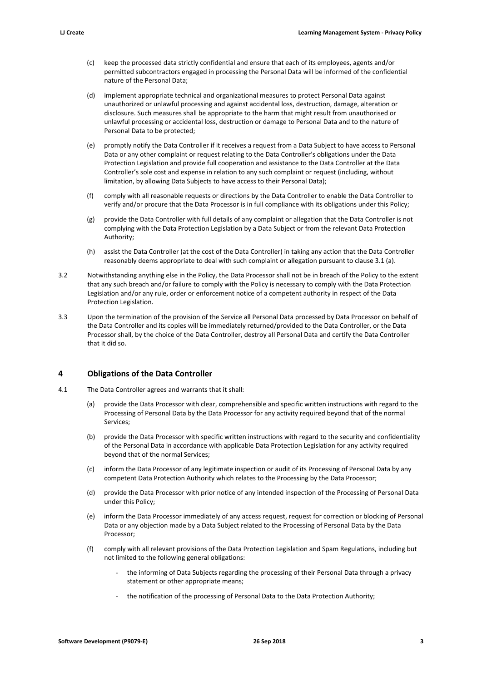- (c) keep the processed data strictly confidential and ensure that each of its employees, agents and/or permitted subcontractors engaged in processing the Personal Data will be informed of the confidential nature of the Personal Data;
- (d) implement appropriate technical and organizational measures to protect Personal Data against unauthorized or unlawful processing and against accidental loss, destruction, damage, alteration or disclosure. Such measures shall be appropriate to the harm that might result from unauthorised or unlawful processing or accidental loss, destruction or damage to Personal Data and to the nature of Personal Data to be protected;
- (e) promptly notify the Data Controller if it receives a request from a Data Subject to have access to Personal Data or any other complaint or request relating to the Data Controller's obligations under the Data Protection Legislation and provide full cooperation and assistance to the Data Controller at the Data Controller's sole cost and expense in relation to any such complaint or request (including, without limitation, by allowing Data Subjects to have access to their Personal Data);
- (f) comply with all reasonable requests or directions by the Data Controller to enable the Data Controller to verify and/or procure that the Data Processor is in full compliance with its obligations under this Policy;
- (g) provide the Data Controller with full details of any complaint or allegation that the Data Controller is not complying with the Data Protection Legislation by a Data Subject or from the relevant Data Protection Authority;
- (h) assist the Data Controller (at the cost of the Data Controller) in taking any action that the Data Controller reasonably deems appropriate to deal with such complaint or allegation pursuant to clause 3.1 (a).
- 3.2 Notwithstanding anything else in the Policy, the Data Processor shall not be in breach of the Policy to the extent that any such breach and/or failure to comply with the Policy is necessary to comply with the Data Protection Legislation and/or any rule, order or enforcement notice of a competent authority in respect of the Data Protection Legislation.
- 3.3 Upon the termination of the provision of the Service all Personal Data processed by Data Processor on behalf of the Data Controller and its copies will be immediately returned/provided to the Data Controller, or the Data Processor shall, by the choice of the Data Controller, destroy all Personal Data and certify the Data Controller that it did so.

## **4 Obligations of the Data Controller**

- 4.1 The Data Controller agrees and warrants that it shall:
	- (a) provide the Data Processor with clear, comprehensible and specific written instructions with regard to the Processing of Personal Data by the Data Processor for any activity required beyond that of the normal Services;
	- (b) provide the Data Processor with specific written instructions with regard to the security and confidentiality of the Personal Data in accordance with applicable Data Protection Legislation for any activity required beyond that of the normal Services;
	- (c) inform the Data Processor of any legitimate inspection or audit of its Processing of Personal Data by any competent Data Protection Authority which relates to the Processing by the Data Processor;
	- (d) provide the Data Processor with prior notice of any intended inspection of the Processing of Personal Data under this Policy;
	- (e) inform the Data Processor immediately of any access request, request for correction or blocking of Personal Data or any objection made by a Data Subject related to the Processing of Personal Data by the Data Processor;
	- (f) comply with all relevant provisions of the Data Protection Legislation and Spam Regulations, including but not limited to the following general obligations:
		- the informing of Data Subjects regarding the processing of their Personal Data through a privacy statement or other appropriate means;
		- the notification of the processing of Personal Data to the Data Protection Authority;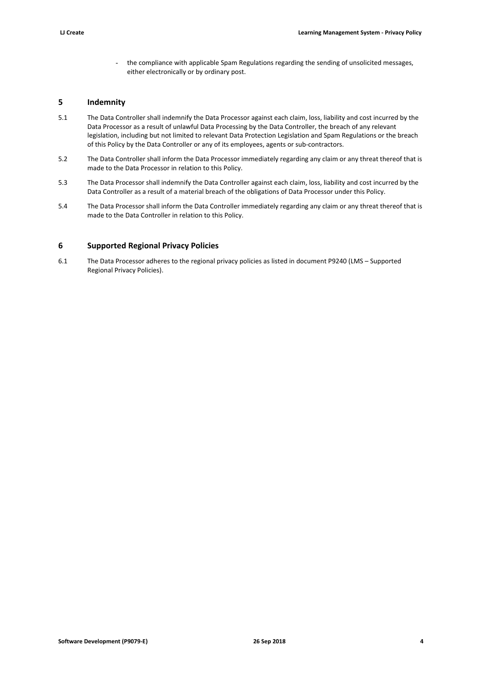- the compliance with applicable Spam Regulations regarding the sending of unsolicited messages, either electronically or by ordinary post.

## **5 Indemnity**

- 5.1 The Data Controller shall indemnify the Data Processor against each claim, loss, liability and cost incurred by the Data Processor as a result of unlawful Data Processing by the Data Controller, the breach of any relevant legislation, including but not limited to relevant Data Protection Legislation and Spam Regulations or the breach of this Policy by the Data Controller or any of its employees, agents or sub‐contractors.
- 5.2 The Data Controller shall inform the Data Processor immediately regarding any claim or any threat thereof that is made to the Data Processor in relation to this Policy.
- 5.3 The Data Processor shall indemnify the Data Controller against each claim, loss, liability and cost incurred by the Data Controller as a result of a material breach of the obligations of Data Processor under this Policy.
- 5.4 The Data Processor shall inform the Data Controller immediately regarding any claim or any threat thereof that is made to the Data Controller in relation to this Policy.

## **6 Supported Regional Privacy Policies**

6.1 The Data Processor adheres to the regional privacy policies as listed in document P9240 (LMS – Supported Regional Privacy Policies).